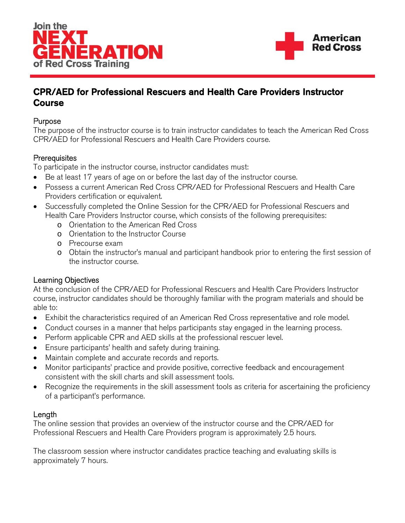



# CPR/AED for Professional Rescuers and Health Care Providers Instructor Course

#### Purpose

The purpose of the instructor course is to train instructor candidates to teach the American Red Cross CPR/AED for Professional Rescuers and Health Care Providers course.

## **Prerequisites**

To participate in the instructor course, instructor candidates must:

- Be at least 17 years of age on or before the last day of the instructor course.
- Possess a current American Red Cross CPR/AED for Professional Rescuers and Health Care Providers certification or equivalent.
- Successfully completed the Online Session for the CPR/AED for Professional Rescuers and Health Care Providers Instructor course, which consists of the following prerequisites:
	- o Orientation to the American Red Cross
	- o Orientation to the Instructor Course
	- o Precourse exam
	- o Obtain the instructor's manual and participant handbook prior to entering the first session of the instructor course.

## Learning Objectives

At the conclusion of the CPR/AED for Professional Rescuers and Health Care Providers Instructor course, instructor candidates should be thoroughly familiar with the program materials and should be able to:

- Exhibit the characteristics required of an American Red Cross representative and role model.
- Conduct courses in a manner that helps participants stay engaged in the learning process.
- Perform applicable CPR and AED skills at the professional rescuer level.
- Ensure participants' health and safety during training.
- Maintain complete and accurate records and reports.
- Monitor participants' practice and provide positive, corrective feedback and encouragement consistent with the skill charts and skill assessment tools.
- Recognize the requirements in the skill assessment tools as criteria for ascertaining the proficiency of a participant's performance.

## Length

The online session that provides an overview of the instructor course and the CPR/AED for Professional Rescuers and Health Care Providers program is approximately 2.5 hours.

The classroom session where instructor candidates practice teaching and evaluating skills is approximately 7 hours.